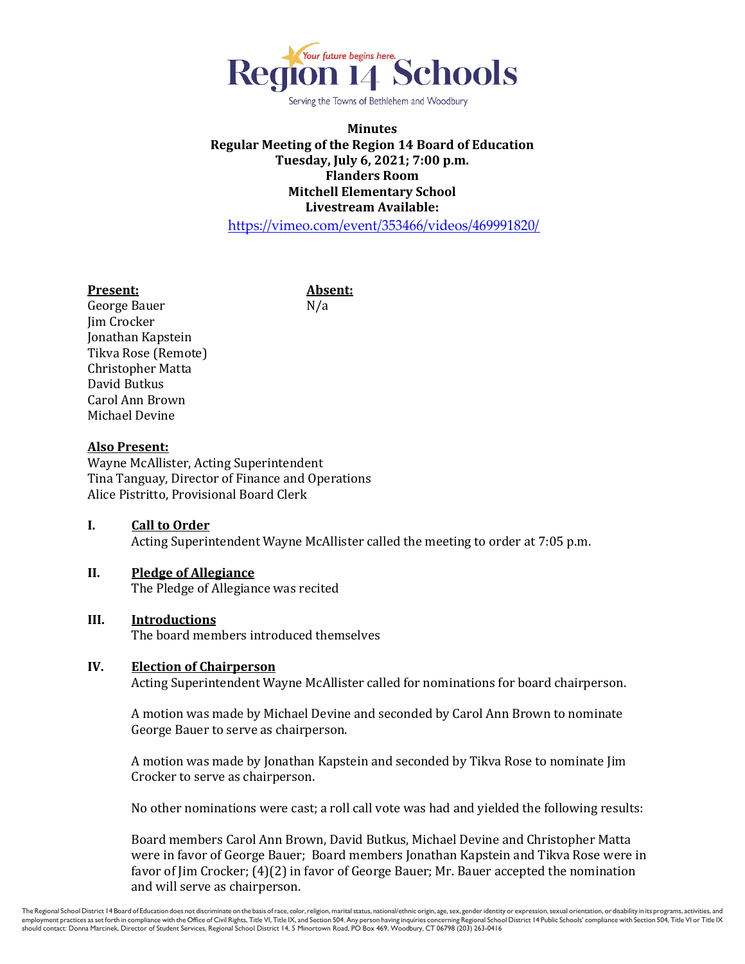

Serving the Towns of Bethlehem and Woodbury

# **Minutes Regular Meeting of the Region 14 Board of Education Tuesday, July 6, 2021; 7:00 p.m. Flanders Room Mitchell Elementary School Livestream Available:**

<https://vimeo.com/event/353466/videos/469991820/>

#### **Present: Absent:**

George Bauer N/a Jim Crocker Jonathan Kapstein Tikva Rose (Remote) Christopher Matta David Butkus Carol Ann Brown Michael Devine

#### **Also Present:**

Wayne McAllister, Acting Superintendent Tina Tanguay, Director of Finance and Operations Alice Pistritto, Provisional Board Clerk

# **I. Call to Order**

Acting Superintendent Wayne McAllister called the meeting to order at 7:05 p.m.

#### **II. Pledge of Allegiance**

The Pledge of Allegiance was recited

#### **III. Introductions**

The board members introduced themselves

#### **IV. Election of Chairperson**

Acting Superintendent Wayne McAllister called for nominations for board chairperson.

A motion was made by Michael Devine and seconded by Carol Ann Brown to nominate George Bauer to serve as chairperson.

A motion was made by Jonathan Kapstein and seconded by Tikva Rose to nominate Jim Crocker to serve as chairperson.

No other nominations were cast; a roll call vote was had and yielded the following results:

Board members Carol Ann Brown, David Butkus, Michael Devine and Christopher Matta were in favor of George Bauer; Board members Jonathan Kapstein and Tikva Rose were in favor of Jim Crocker; (4)(2) in favor of George Bauer; Mr. Bauer accepted the nomination and will serve as chairperson.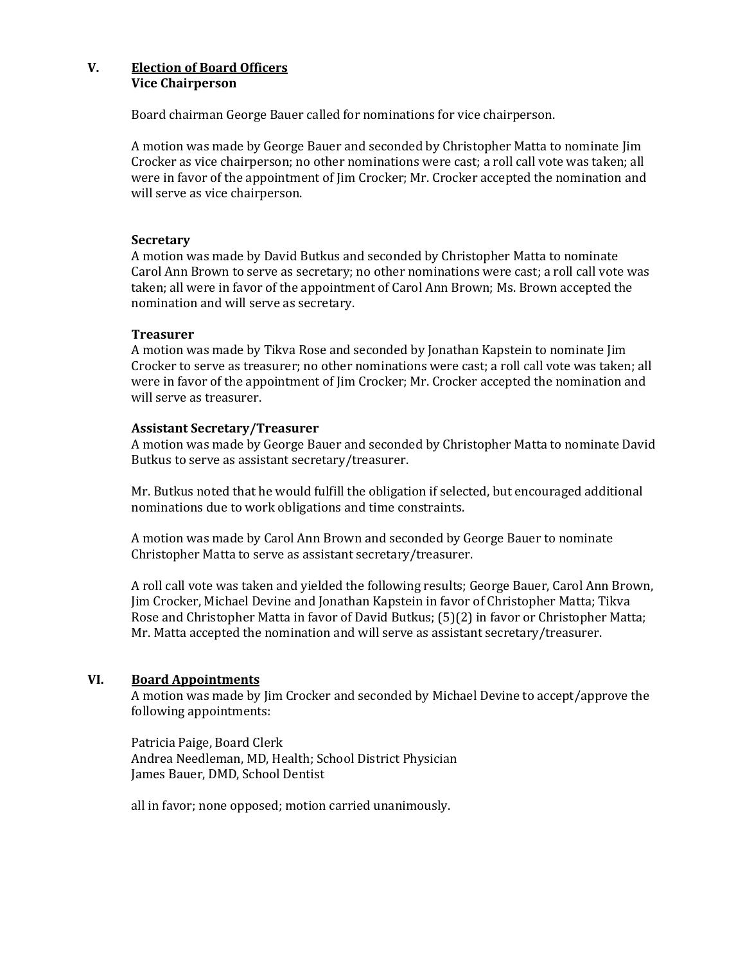### **V. Election of Board Officers Vice Chairperson**

Board chairman George Bauer called for nominations for vice chairperson.

A motion was made by George Bauer and seconded by Christopher Matta to nominate Jim Crocker as vice chairperson; no other nominations were cast; a roll call vote was taken; all were in favor of the appointment of Jim Crocker; Mr. Crocker accepted the nomination and will serve as vice chairperson.

### **Secretary**

A motion was made by David Butkus and seconded by Christopher Matta to nominate Carol Ann Brown to serve as secretary; no other nominations were cast; a roll call vote was taken; all were in favor of the appointment of Carol Ann Brown; Ms. Brown accepted the nomination and will serve as secretary.

#### **Treasurer**

A motion was made by Tikva Rose and seconded by Jonathan Kapstein to nominate Jim Crocker to serve as treasurer; no other nominations were cast; a roll call vote was taken; all were in favor of the appointment of Jim Crocker; Mr. Crocker accepted the nomination and will serve as treasurer.

#### **Assistant Secretary/Treasurer**

A motion was made by George Bauer and seconded by Christopher Matta to nominate David Butkus to serve as assistant secretary/treasurer.

Mr. Butkus noted that he would fulfill the obligation if selected, but encouraged additional nominations due to work obligations and time constraints.

A motion was made by Carol Ann Brown and seconded by George Bauer to nominate Christopher Matta to serve as assistant secretary/treasurer.

A roll call vote was taken and yielded the following results; George Bauer, Carol Ann Brown, Jim Crocker, Michael Devine and Jonathan Kapstein in favor of Christopher Matta; Tikva Rose and Christopher Matta in favor of David Butkus; (5)(2) in favor or Christopher Matta; Mr. Matta accepted the nomination and will serve as assistant secretary/treasurer.

### **VI. Board Appointments**

A motion was made by Jim Crocker and seconded by Michael Devine to accept/approve the following appointments:

Patricia Paige, Board Clerk Andrea Needleman, MD, Health; School District Physician James Bauer, DMD, School Dentist

all in favor; none opposed; motion carried unanimously.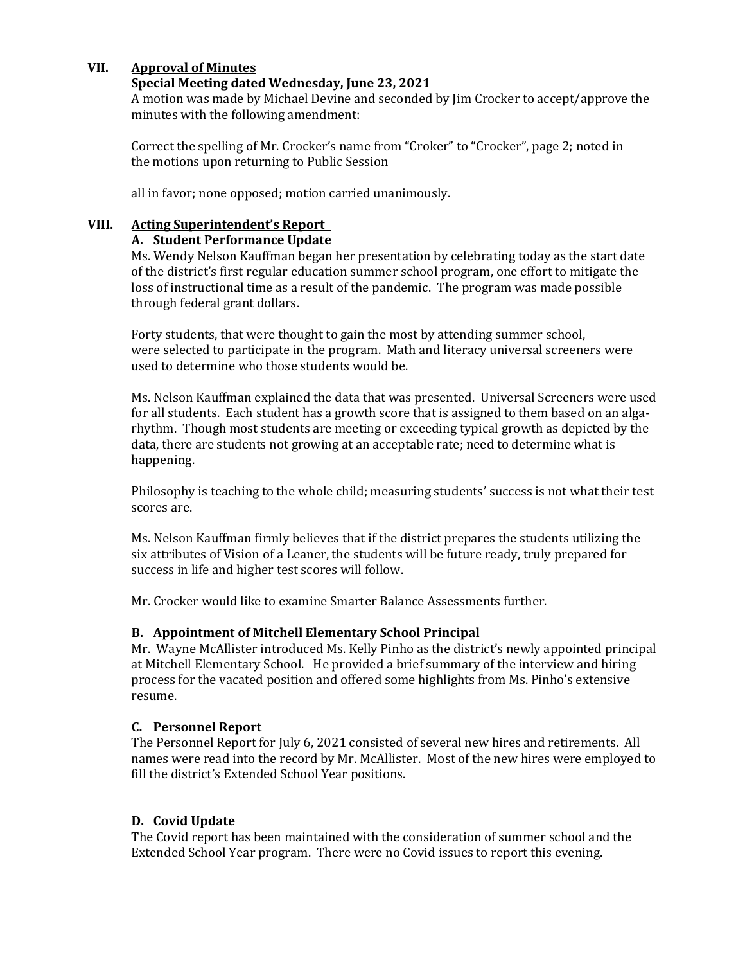### **VII. Approval of Minutes**

#### **Special Meeting dated Wednesday, June 23, 2021**

A motion was made by Michael Devine and seconded by Jim Crocker to accept/approve the minutes with the following amendment:

Correct the spelling of Mr. Crocker's name from "Croker" to "Crocker", page 2; noted in the motions upon returning to Public Session

all in favor; none opposed; motion carried unanimously.

### **VIII. Acting Superintendent's Report**

#### **A. Student Performance Update**

Ms. Wendy Nelson Kauffman began her presentation by celebrating today as the start date of the district's first regular education summer school program, one effort to mitigate the loss of instructional time as a result of the pandemic. The program was made possible through federal grant dollars.

Forty students, that were thought to gain the most by attending summer school, were selected to participate in the program. Math and literacy universal screeners were used to determine who those students would be.

Ms. Nelson Kauffman explained the data that was presented. Universal Screeners were used for all students. Each student has a growth score that is assigned to them based on an algarhythm. Though most students are meeting or exceeding typical growth as depicted by the data, there are students not growing at an acceptable rate; need to determine what is happening.

Philosophy is teaching to the whole child; measuring students' success is not what their test scores are.

Ms. Nelson Kauffman firmly believes that if the district prepares the students utilizing the six attributes of Vision of a Leaner, the students will be future ready, truly prepared for success in life and higher test scores will follow.

Mr. Crocker would like to examine Smarter Balance Assessments further.

### **B. Appointment of Mitchell Elementary School Principal**

Mr. Wayne McAllister introduced Ms. Kelly Pinho as the district's newly appointed principal at Mitchell Elementary School. He provided a brief summary of the interview and hiring process for the vacated position and offered some highlights from Ms. Pinho's extensive resume.

#### **C. Personnel Report**

The Personnel Report for July 6, 2021 consisted of several new hires and retirements. All names were read into the record by Mr. McAllister. Most of the new hires were employed to fill the district's Extended School Year positions.

### **D. Covid Update**

The Covid report has been maintained with the consideration of summer school and the Extended School Year program. There were no Covid issues to report this evening.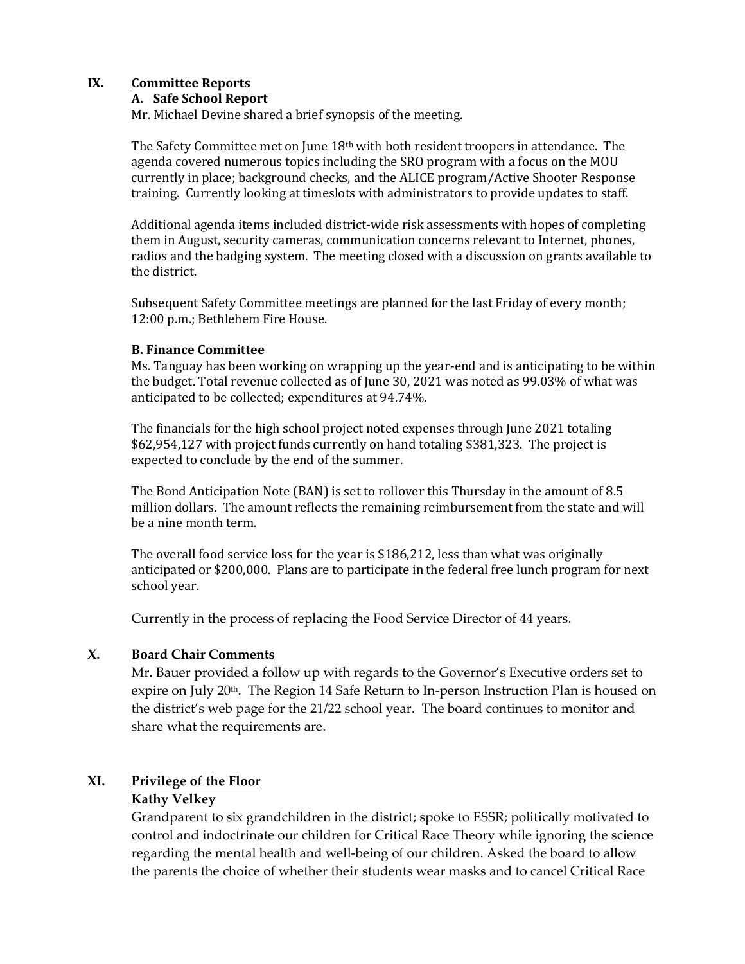# **IX. Committee Reports**

### **A. Safe School Report**

Mr. Michael Devine shared a brief synopsis of the meeting.

The Safety Committee met on June 18th with both resident troopers in attendance. The agenda covered numerous topics including the SRO program with a focus on the MOU currently in place; background checks, and the ALICE program/Active Shooter Response training. Currently looking at timeslots with administrators to provide updates to staff.

Additional agenda items included district-wide risk assessments with hopes of completing them in August, security cameras, communication concerns relevant to Internet, phones, radios and the badging system. The meeting closed with a discussion on grants available to the district.

Subsequent Safety Committee meetings are planned for the last Friday of every month; 12:00 p.m.; Bethlehem Fire House.

#### **B. Finance Committee**

Ms. Tanguay has been working on wrapping up the year-end and is anticipating to be within the budget. Total revenue collected as of June 30, 2021 was noted as 99.03% of what was anticipated to be collected; expenditures at 94.74%.

The financials for the high school project noted expenses through June 2021 totaling \$62,954,127 with project funds currently on hand totaling \$381,323. The project is expected to conclude by the end of the summer.

The Bond Anticipation Note (BAN) is set to rollover this Thursday in the amount of 8.5 million dollars. The amount reflects the remaining reimbursement from the state and will be a nine month term.

The overall food service loss for the year is \$186,212, less than what was originally anticipated or \$200,000. Plans are to participate in the federal free lunch program for next school year.

Currently in the process of replacing the Food Service Director of 44 years.

### **X. Board Chair Comments**

Mr. Bauer provided a follow up with regards to the Governor's Executive orders set to expire on July 20<sup>th</sup>. The Region 14 Safe Return to In-person Instruction Plan is housed on the district's web page for the 21/22 school year. The board continues to monitor and share what the requirements are.

# **XI. Privilege of the Floor**

### **Kathy Velkey**

Grandparent to six grandchildren in the district; spoke to ESSR; politically motivated to control and indoctrinate our children for Critical Race Theory while ignoring the science regarding the mental health and well-being of our children. Asked the board to allow the parents the choice of whether their students wear masks and to cancel Critical Race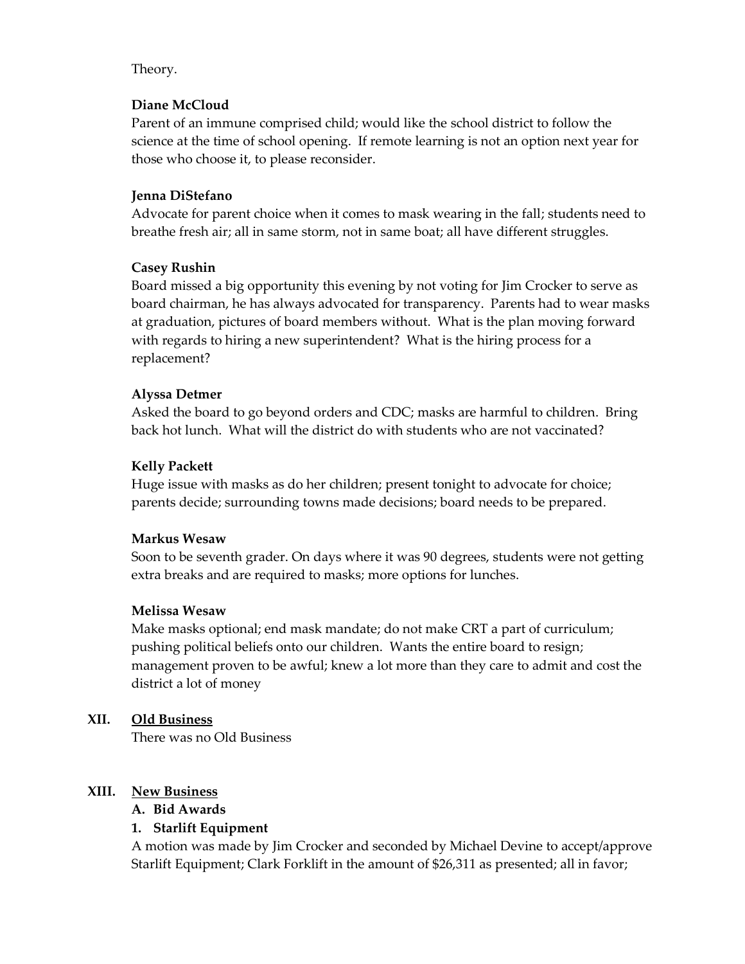### Theory.

### **Diane McCloud**

Parent of an immune comprised child; would like the school district to follow the science at the time of school opening. If remote learning is not an option next year for those who choose it, to please reconsider.

#### **Jenna DiStefano**

Advocate for parent choice when it comes to mask wearing in the fall; students need to breathe fresh air; all in same storm, not in same boat; all have different struggles.

### **Casey Rushin**

Board missed a big opportunity this evening by not voting for Jim Crocker to serve as board chairman, he has always advocated for transparency. Parents had to wear masks at graduation, pictures of board members without. What is the plan moving forward with regards to hiring a new superintendent? What is the hiring process for a replacement?

#### **Alyssa Detmer**

Asked the board to go beyond orders and CDC; masks are harmful to children. Bring back hot lunch. What will the district do with students who are not vaccinated?

#### **Kelly Packett**

Huge issue with masks as do her children; present tonight to advocate for choice; parents decide; surrounding towns made decisions; board needs to be prepared.

#### **Markus Wesaw**

Soon to be seventh grader. On days where it was 90 degrees, students were not getting extra breaks and are required to masks; more options for lunches.

#### **Melissa Wesaw**

Make masks optional; end mask mandate; do not make CRT a part of curriculum; pushing political beliefs onto our children. Wants the entire board to resign; management proven to be awful; knew a lot more than they care to admit and cost the district a lot of money

### **XII. Old Business**

There was no Old Business

### **XIII. New Business**

**A. Bid Awards**

### **1. Starlift Equipment**

A motion was made by Jim Crocker and seconded by Michael Devine to accept/approve Starlift Equipment; Clark Forklift in the amount of \$26,311 as presented; all in favor;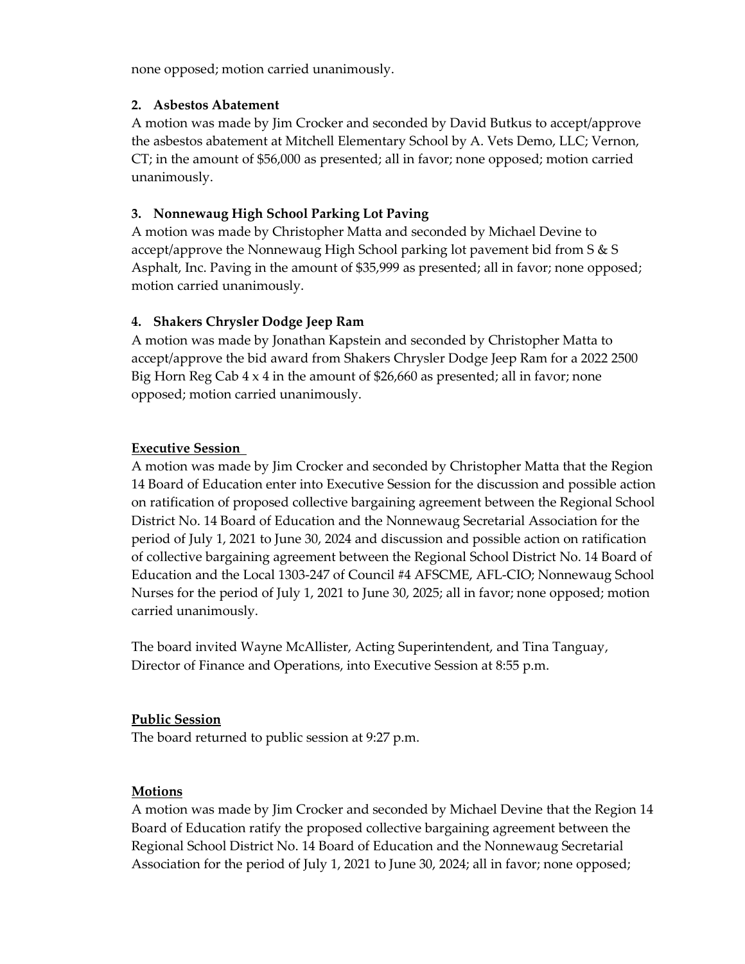none opposed; motion carried unanimously.

### **2. Asbestos Abatement**

A motion was made by Jim Crocker and seconded by David Butkus to accept/approve the asbestos abatement at Mitchell Elementary School by A. Vets Demo, LLC; Vernon, CT; in the amount of \$56,000 as presented; all in favor; none opposed; motion carried unanimously.

# **3. Nonnewaug High School Parking Lot Paving**

A motion was made by Christopher Matta and seconded by Michael Devine to accept/approve the Nonnewaug High School parking lot pavement bid from S & S Asphalt, Inc. Paving in the amount of \$35,999 as presented; all in favor; none opposed; motion carried unanimously.

# **4. Shakers Chrysler Dodge Jeep Ram**

A motion was made by Jonathan Kapstein and seconded by Christopher Matta to accept/approve the bid award from Shakers Chrysler Dodge Jeep Ram for a 2022 2500 Big Horn Reg Cab  $4 \times 4$  in the amount of \$26,660 as presented; all in favor; none opposed; motion carried unanimously.

# **Executive Session**

A motion was made by Jim Crocker and seconded by Christopher Matta that the Region 14 Board of Education enter into Executive Session for the discussion and possible action on ratification of proposed collective bargaining agreement between the Regional School District No. 14 Board of Education and the Nonnewaug Secretarial Association for the period of July 1, 2021 to June 30, 2024 and discussion and possible action on ratification of collective bargaining agreement between the Regional School District No. 14 Board of Education and the Local 1303-247 of Council #4 AFSCME, AFL-CIO; Nonnewaug School Nurses for the period of July 1, 2021 to June 30, 2025; all in favor; none opposed; motion carried unanimously.

The board invited Wayne McAllister, Acting Superintendent, and Tina Tanguay, Director of Finance and Operations, into Executive Session at 8:55 p.m.

### **Public Session**

The board returned to public session at 9:27 p.m.

# **Motions**

A motion was made by Jim Crocker and seconded by Michael Devine that the Region 14 Board of Education ratify the proposed collective bargaining agreement between the Regional School District No. 14 Board of Education and the Nonnewaug Secretarial Association for the period of July 1, 2021 to June 30, 2024; all in favor; none opposed;